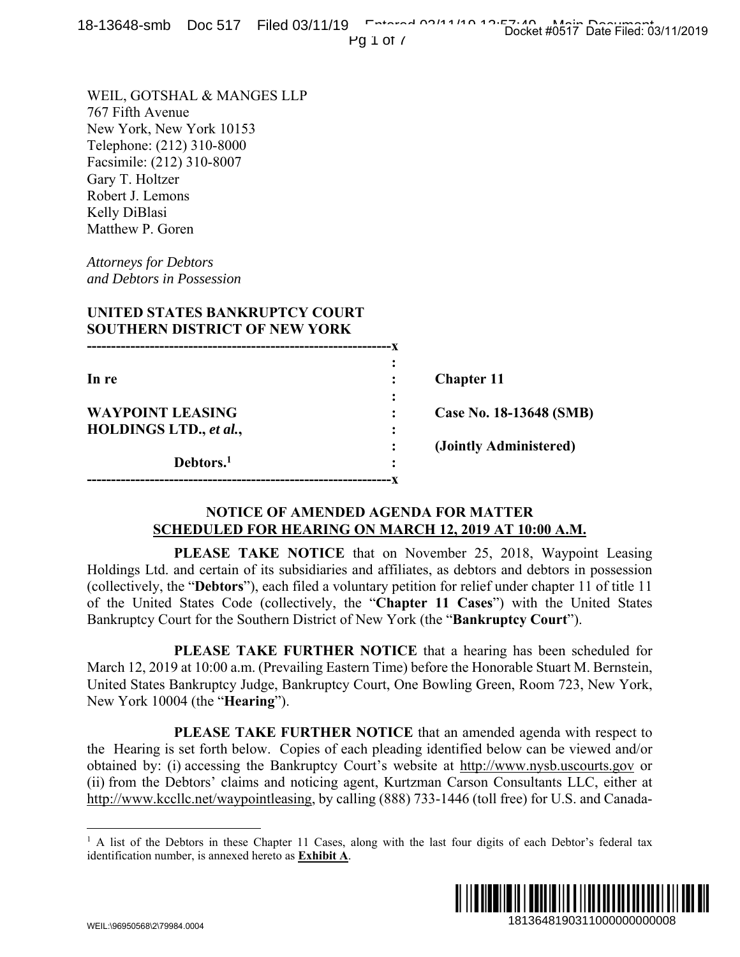| <u>0-19040-91110 DOC 917 THEO OSITIZE</u>                                                                                                                                                                                                                                                                                                                                                                                                                                                                                                                                                   | Docket #0517 Date Filed: 03/11/2019<br>Pg $1$ of $\prime$                                                                                 |
|---------------------------------------------------------------------------------------------------------------------------------------------------------------------------------------------------------------------------------------------------------------------------------------------------------------------------------------------------------------------------------------------------------------------------------------------------------------------------------------------------------------------------------------------------------------------------------------------|-------------------------------------------------------------------------------------------------------------------------------------------|
| WEIL, GOTSHAL & MANGES LLP<br>767 Fifth Avenue<br>New York, New York 10153<br>Telephone: (212) 310-8000<br>Facsimile: (212) 310-8007<br>Gary T. Holtzer<br>Robert J. Lemons<br>Kelly DiBlasi<br>Matthew P. Goren<br><b>Attorneys for Debtors</b><br>and Debtors in Possession<br>UNITED STATES BANKRUPTCY COURT                                                                                                                                                                                                                                                                             |                                                                                                                                           |
| <b>SOUTHERN DISTRICT OF NEW YORK</b>                                                                                                                                                                                                                                                                                                                                                                                                                                                                                                                                                        |                                                                                                                                           |
| In re                                                                                                                                                                                                                                                                                                                                                                                                                                                                                                                                                                                       | <b>Chapter 11</b>                                                                                                                         |
| <b>WAYPOINT LEASING</b>                                                                                                                                                                                                                                                                                                                                                                                                                                                                                                                                                                     | Case No. 18-13648 (SMB)                                                                                                                   |
| HOLDINGS LTD., et al.,<br>Debtors. <sup>1</sup>                                                                                                                                                                                                                                                                                                                                                                                                                                                                                                                                             | (Jointly Administered)                                                                                                                    |
| <b>NOTICE OF AMENDED AGENDA FOR MATTER</b><br><b>SCHEDULED FOR HEARING ON MARCH 12, 2019 AT 10:00 A.M.</b>                                                                                                                                                                                                                                                                                                                                                                                                                                                                                  |                                                                                                                                           |
| Holdings Ltd. and certain of its subsidiaries and affiliates, as debtors and debtors in possession<br>(collectively, the "Debtors"), each filed a voluntary petition for relief under chapter 11 of title 11<br>of the United States Code (collectively, the "Chapter 11 Cases") with the United States<br>Bankruptcy Court for the Southern District of New York (the "Bankruptcy Court").<br>March 12, 2019 at 10:00 a.m. (Prevailing Eastern Time) before the Honorable Stuart M. Bernstein,<br>United States Bankruptcy Judge, Bankruptcy Court, One Bowling Green, Room 723, New York, | <b>PLEASE TAKE NOTICE</b> that on November 25, 2018, Waypoint Leasing<br>PLEASE TAKE FURTHER NOTICE that a hearing has been scheduled for |
| New York 10004 (the " <b>Hearing</b> ").                                                                                                                                                                                                                                                                                                                                                                                                                                                                                                                                                    |                                                                                                                                           |
| the Hearing is set forth below. Copies of each pleading identified below can be viewed and/or<br>obtained by: (i) accessing the Bankruptcy Court's website at http://www.nysb.uscourts.gov or<br>(ii) from the Debtors' claims and noticing agent, Kurtzman Carson Consultants LLC, either at<br>http://www.kccllc.net/waypointleasing, by calling (888) 733-1446 (toll free) for U.S. and Canada-                                                                                                                                                                                          | PLEASE TAKE FURTHER NOTICE that an amended agenda with respect to                                                                         |
| <sup>1</sup> A list of the Debtors in these Chapter 11 Cases, along with the last four digits of each Debtor's federal tax<br>identification number, is annexed hereto as Exhibit A.                                                                                                                                                                                                                                                                                                                                                                                                        |                                                                                                                                           |
| WEIL \QGQ50568\2\7QQ84 0004                                                                                                                                                                                                                                                                                                                                                                                                                                                                                                                                                                 | 1813648190311000000000008                                                                                                                 |

## **NOTICE OF AMENDED AGENDA FOR MATTER SCHEDULED FOR HEARING ON MARCH 12, 2019 AT 10:00 A.M.**

<sup>&</sup>lt;sup>1</sup> A list of the Debtors in these Chapter 11 Cases, along with the last four digits of each Debtor's federal tax identification number, is annexed hereto as **Exhibit A**.

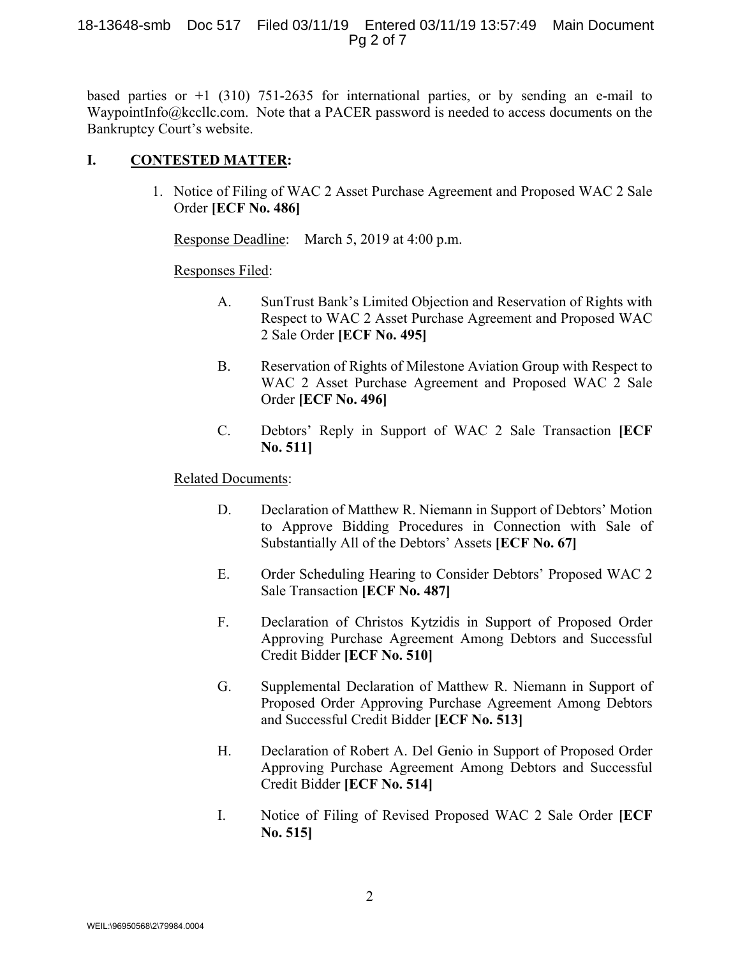#### 18-13648-smb Doc 517 Filed 03/11/19 Entered 03/11/19 13:57:49 Main Document Pg 2 of 7

based parties or  $+1$  (310) 751-2635 for international parties, or by sending an e-mail to WaypointInfo@kccllc.com. Note that a PACER password is needed to access documents on the Bankruptcy Court's website.

## **I. CONTESTED MATTER:**

1. Notice of Filing of WAC 2 Asset Purchase Agreement and Proposed WAC 2 Sale Order **[ECF No. 486]**

Response Deadline: March 5, 2019 at 4:00 p.m.

#### Responses Filed:

- A. SunTrust Bank's Limited Objection and Reservation of Rights with Respect to WAC 2 Asset Purchase Agreement and Proposed WAC 2 Sale Order **[ECF No. 495]**
- B. Reservation of Rights of Milestone Aviation Group with Respect to WAC 2 Asset Purchase Agreement and Proposed WAC 2 Sale Order **[ECF No. 496]**
- C. Debtors' Reply in Support of WAC 2 Sale Transaction **[ECF No. 511]**

## Related Documents:

- D. Declaration of Matthew R. Niemann in Support of Debtors' Motion to Approve Bidding Procedures in Connection with Sale of Substantially All of the Debtors' Assets **[ECF No. 67]**
- E. Order Scheduling Hearing to Consider Debtors' Proposed WAC 2 Sale Transaction **[ECF No. 487]**
- F. Declaration of Christos Kytzidis in Support of Proposed Order Approving Purchase Agreement Among Debtors and Successful Credit Bidder **[ECF No. 510]**
- G. Supplemental Declaration of Matthew R. Niemann in Support of Proposed Order Approving Purchase Agreement Among Debtors and Successful Credit Bidder **[ECF No. 513]**
- H. Declaration of Robert A. Del Genio in Support of Proposed Order Approving Purchase Agreement Among Debtors and Successful Credit Bidder **[ECF No. 514]**
- I. Notice of Filing of Revised Proposed WAC 2 Sale Order **[ECF No. 515]**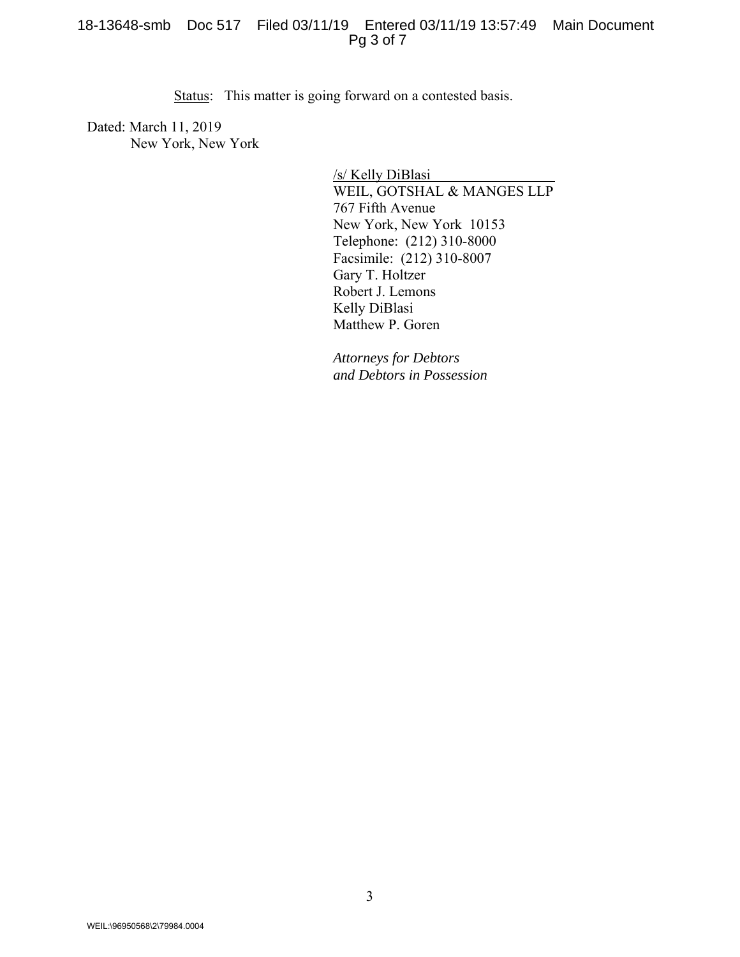#### 18-13648-smb Doc 517 Filed 03/11/19 Entered 03/11/19 13:57:49 Main Document Pg 3 of 7

Status: This matter is going forward on a contested basis.

Dated: March 11, 2019 New York, New York

> /s/ Kelly DiBlasi WEIL, GOTSHAL & MANGES LLP 767 Fifth Avenue New York, New York 10153 Telephone: (212) 310-8000 Facsimile: (212) 310-8007 Gary T. Holtzer Robert J. Lemons Kelly DiBlasi Matthew P. Goren

*Attorneys for Debtors and Debtors in Possession*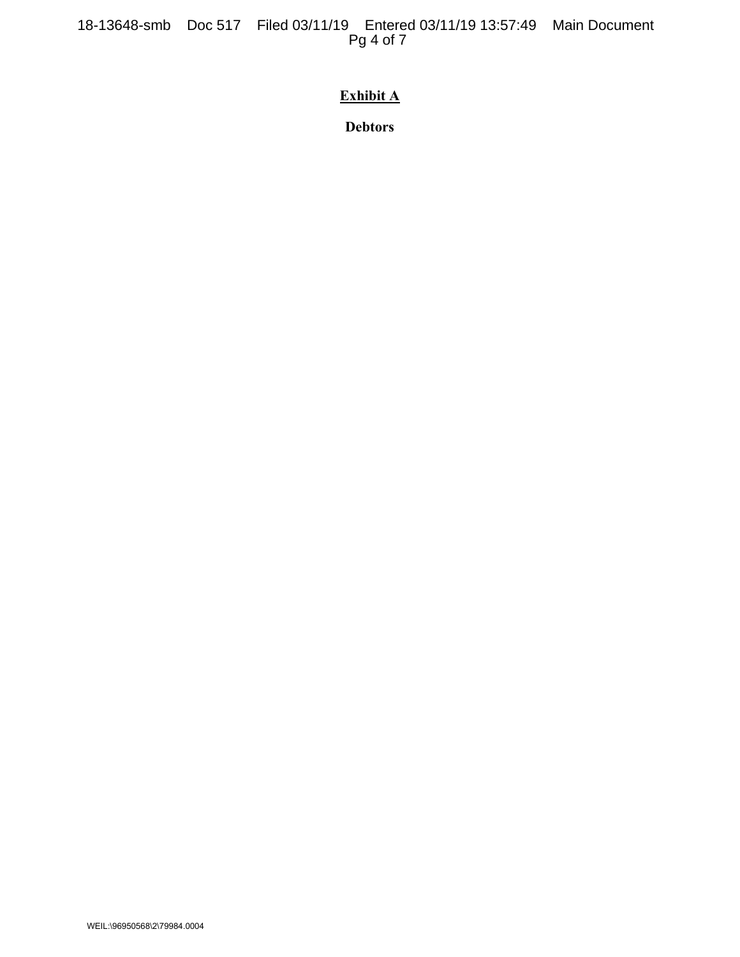# **Exhibit A**

**Debtors**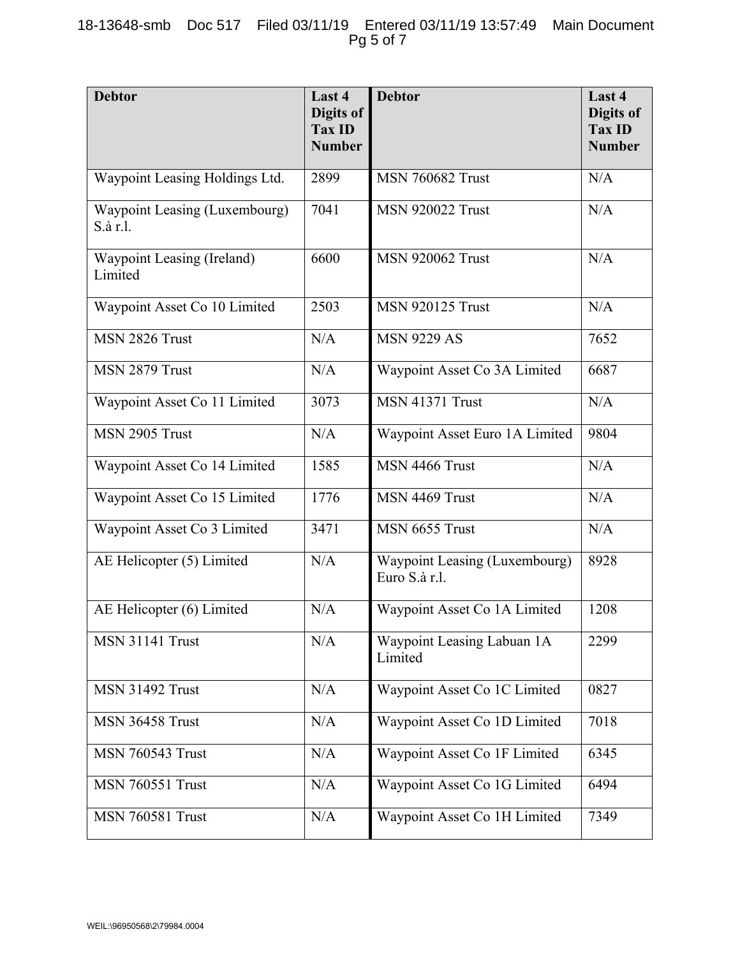| <b>Debtor</b>                             | Last 4<br>Digits of<br><b>Tax ID</b><br><b>Number</b> | <b>Debtor</b>                                  | Last 4<br>Digits of<br><b>Tax ID</b><br><b>Number</b> |
|-------------------------------------------|-------------------------------------------------------|------------------------------------------------|-------------------------------------------------------|
| Waypoint Leasing Holdings Ltd.            | 2899                                                  | <b>MSN 760682 Trust</b>                        | N/A                                                   |
| Waypoint Leasing (Luxembourg)<br>S.à r.l. | 7041                                                  | <b>MSN 920022 Trust</b>                        | N/A                                                   |
| Waypoint Leasing (Ireland)<br>Limited     | 6600                                                  | <b>MSN 920062 Trust</b>                        | N/A                                                   |
| Waypoint Asset Co 10 Limited              | 2503                                                  | <b>MSN 920125 Trust</b>                        | N/A                                                   |
| MSN 2826 Trust                            | N/A                                                   | <b>MSN 9229 AS</b>                             | 7652                                                  |
| MSN 2879 Trust                            | N/A                                                   | Waypoint Asset Co 3A Limited                   | 6687                                                  |
| Waypoint Asset Co 11 Limited              | 3073                                                  | <b>MSN 41371 Trust</b>                         | N/A                                                   |
| MSN 2905 Trust                            | N/A                                                   | Waypoint Asset Euro 1A Limited                 | 9804                                                  |
| Waypoint Asset Co 14 Limited              | 1585                                                  | MSN 4466 Trust                                 | N/A                                                   |
| Waypoint Asset Co 15 Limited              | 1776                                                  | MSN 4469 Trust                                 | N/A                                                   |
| Waypoint Asset Co 3 Limited               | 3471                                                  | MSN 6655 Trust                                 | N/A                                                   |
| AE Helicopter (5) Limited                 | N/A                                                   | Waypoint Leasing (Luxembourg)<br>Euro S.à r.l. | 8928                                                  |
| AE Helicopter (6) Limited                 | N/A                                                   | Waypoint Asset Co 1A Limited                   | 1208                                                  |
| <b>MSN 31141 Trust</b>                    | N/A                                                   | Waypoint Leasing Labuan 1A<br>Limited          | 2299                                                  |
| <b>MSN 31492 Trust</b>                    | N/A                                                   | Waypoint Asset Co 1C Limited                   | 0827                                                  |
| MSN 36458 Trust                           | N/A                                                   | Waypoint Asset Co 1D Limited                   | 7018                                                  |
| <b>MSN 760543 Trust</b>                   | N/A                                                   | Waypoint Asset Co 1F Limited                   | 6345                                                  |
| <b>MSN 760551 Trust</b>                   | N/A                                                   | Waypoint Asset Co 1G Limited                   | 6494                                                  |
| <b>MSN 760581 Trust</b>                   | N/A                                                   | Waypoint Asset Co 1H Limited                   | 7349                                                  |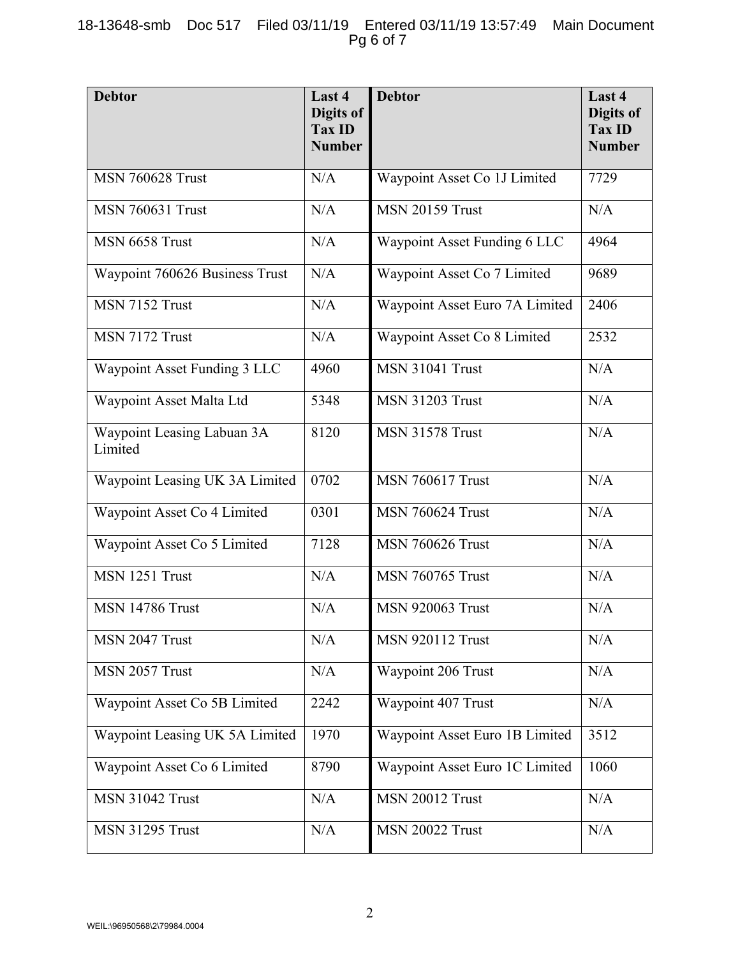## 18-13648-smb Doc 517 Filed 03/11/19 Entered 03/11/19 13:57:49 Main Document Pg 6 of 7

| <b>Debtor</b>                         | Last 4<br>Digits of<br><b>Tax ID</b><br><b>Number</b> | <b>Debtor</b>                  | Last 4<br>Digits of<br><b>Tax ID</b><br><b>Number</b> |
|---------------------------------------|-------------------------------------------------------|--------------------------------|-------------------------------------------------------|
| <b>MSN 760628 Trust</b>               | N/A                                                   | Waypoint Asset Co 1J Limited   | 7729                                                  |
| <b>MSN 760631 Trust</b>               | N/A                                                   | <b>MSN 20159 Trust</b>         | N/A                                                   |
| MSN 6658 Trust                        | N/A                                                   | Waypoint Asset Funding 6 LLC   | 4964                                                  |
| Waypoint 760626 Business Trust        | N/A                                                   | Waypoint Asset Co 7 Limited    | 9689                                                  |
| MSN 7152 Trust                        | N/A                                                   | Waypoint Asset Euro 7A Limited | 2406                                                  |
| MSN 7172 Trust                        | N/A                                                   | Waypoint Asset Co 8 Limited    | 2532                                                  |
| Waypoint Asset Funding 3 LLC          | 4960                                                  | <b>MSN 31041 Trust</b>         | N/A                                                   |
| Waypoint Asset Malta Ltd              | 5348                                                  | <b>MSN 31203 Trust</b>         | N/A                                                   |
| Waypoint Leasing Labuan 3A<br>Limited | 8120                                                  | <b>MSN 31578 Trust</b>         | N/A                                                   |
| Waypoint Leasing UK 3A Limited        | 0702                                                  | <b>MSN 760617 Trust</b>        | N/A                                                   |
| Waypoint Asset Co 4 Limited           | 0301                                                  | <b>MSN 760624 Trust</b>        | N/A                                                   |
| Waypoint Asset Co 5 Limited           | 7128                                                  | <b>MSN 760626 Trust</b>        | N/A                                                   |
| MSN 1251 Trust                        | N/A                                                   | <b>MSN 760765 Trust</b>        | N/A                                                   |
| MSN 14786 Trust                       | N/A                                                   | <b>MSN 920063 Trust</b>        | N/A                                                   |
| MSN 2047 Trust                        | N/A                                                   | <b>MSN 920112 Trust</b>        | N/A                                                   |
| MSN 2057 Trust                        | N/A                                                   | Waypoint 206 Trust             | N/A                                                   |
| Waypoint Asset Co 5B Limited          | 2242                                                  | Waypoint 407 Trust             | $\rm N/A$                                             |
| Waypoint Leasing UK 5A Limited        | 1970                                                  | Waypoint Asset Euro 1B Limited | 3512                                                  |
| Waypoint Asset Co 6 Limited           | 8790                                                  | Waypoint Asset Euro 1C Limited | 1060                                                  |
| <b>MSN 31042 Trust</b>                | N/A                                                   | <b>MSN 20012 Trust</b>         | N/A                                                   |
| <b>MSN 31295 Trust</b>                | N/A                                                   | <b>MSN 20022 Trust</b>         | N/A                                                   |